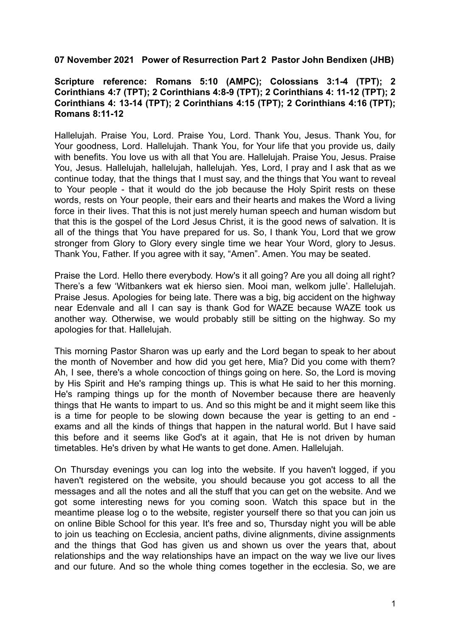## **07 November 2021 Power of Resurrection Part 2 Pastor John Bendixen (JHB)**

## **Scripture reference: Romans 5:10 (AMPC); Colossians 3:1-4 (TPT); 2 Corinthians 4:7 (TPT); 2 Corinthians 4:8-9 (TPT); 2 Corinthians 4: 11-12 (TPT); 2 Corinthians 4: 13-14 (TPT); 2 Corinthians 4:15 (TPT); 2 Corinthians 4:16 (TPT); Romans 8:11-12**

Hallelujah. Praise You, Lord. Praise You, Lord. Thank You, Jesus. Thank You, for Your goodness, Lord. Hallelujah. Thank You, for Your life that you provide us, daily with benefits. You love us with all that You are. Hallelujah. Praise You, Jesus. Praise You, Jesus. Hallelujah, hallelujah, hallelujah. Yes, Lord, I pray and I ask that as we continue today, that the things that I must say, and the things that You want to reveal to Your people - that it would do the job because the Holy Spirit rests on these words, rests on Your people, their ears and their hearts and makes the Word a living force in their lives. That this is not just merely human speech and human wisdom but that this is the gospel of the Lord Jesus Christ, it is the good news of salvation. It is all of the things that You have prepared for us. So, I thank You, Lord that we grow stronger from Glory to Glory every single time we hear Your Word, glory to Jesus. Thank You, Father. If you agree with it say, "Amen". Amen. You may be seated.

Praise the Lord. Hello there everybody. How's it all going? Are you all doing all right? There's a few 'Witbankers wat ek hierso sien. Mooi man, welkom julle'. Hallelujah. Praise Jesus. Apologies for being late. There was a big, big accident on the highway near Edenvale and all I can say is thank God for WAZE because WAZE took us another way. Otherwise, we would probably still be sitting on the highway. So my apologies for that. Hallelujah.

This morning Pastor Sharon was up early and the Lord began to speak to her about the month of November and how did you get here, Mia? Did you come with them? Ah, I see, there's a whole concoction of things going on here. So, the Lord is moving by His Spirit and He's ramping things up. This is what He said to her this morning. He's ramping things up for the month of November because there are heavenly things that He wants to impart to us. And so this might be and it might seem like this is a time for people to be slowing down because the year is getting to an end exams and all the kinds of things that happen in the natural world. But I have said this before and it seems like God's at it again, that He is not driven by human timetables. He's driven by what He wants to get done. Amen. Hallelujah.

On Thursday evenings you can log into the website. If you haven't logged, if you haven't registered on the website, you should because you got access to all the messages and all the notes and all the stuff that you can get on the website. And we got some interesting news for you coming soon. Watch this space but in the meantime please log o to the website, register yourself there so that you can join us on online Bible School for this year. It's free and so, Thursday night you will be able to join us teaching on Ecclesia, ancient paths, divine alignments, divine assignments and the things that God has given us and shown us over the years that, about relationships and the way relationships have an impact on the way we live our lives and our future. And so the whole thing comes together in the ecclesia. So, we are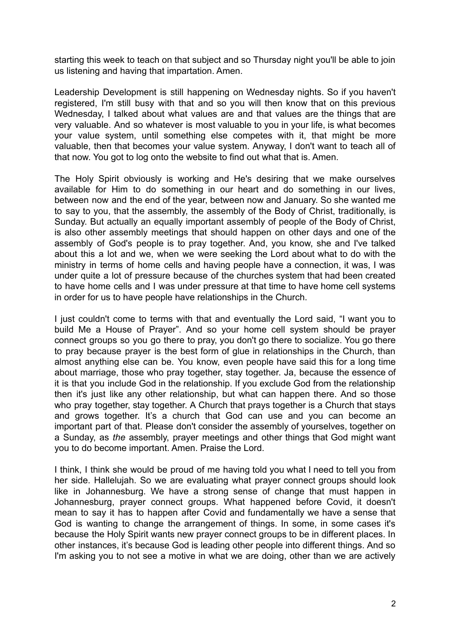starting this week to teach on that subject and so Thursday night you'll be able to join us listening and having that impartation. Amen.

Leadership Development is still happening on Wednesday nights. So if you haven't registered, I'm still busy with that and so you will then know that on this previous Wednesday. I talked about what values are and that values are the things that are very valuable. And so whatever is most valuable to you in your life, is what becomes your value system, until something else competes with it, that might be more valuable, then that becomes your value system. Anyway, I don't want to teach all of that now. You got to log onto the website to find out what that is. Amen.

The Holy Spirit obviously is working and He's desiring that we make ourselves available for Him to do something in our heart and do something in our lives, between now and the end of the year, between now and January. So she wanted me to say to you, that the assembly, the assembly of the Body of Christ, traditionally, is Sunday. But actually an equally important assembly of people of the Body of Christ, is also other assembly meetings that should happen on other days and one of the assembly of God's people is to pray together. And, you know, she and I've talked about this a lot and we, when we were seeking the Lord about what to do with the ministry in terms of home cells and having people have a connection, it was, I was under quite a lot of pressure because of the churches system that had been created to have home cells and I was under pressure at that time to have home cell systems in order for us to have people have relationships in the Church.

I just couldn't come to terms with that and eventually the Lord said, "I want you to build Me a House of Prayer". And so your home cell system should be prayer connect groups so you go there to pray, you don't go there to socialize. You go there to pray because prayer is the best form of glue in relationships in the Church, than almost anything else can be. You know, even people have said this for a long time about marriage, those who pray together, stay together. Ja, because the essence of it is that you include God in the relationship. If you exclude God from the relationship then it's just like any other relationship, but what can happen there. And so those who pray together, stay together. A Church that prays together is a Church that stays and grows together. It's a church that God can use and you can become an important part of that. Please don't consider the assembly of yourselves, together on a Sunday, as *the* assembly, prayer meetings and other things that God might want you to do become important. Amen. Praise the Lord.

I think, I think she would be proud of me having told you what I need to tell you from her side. Hallelujah. So we are evaluating what prayer connect groups should look like in Johannesburg. We have a strong sense of change that must happen in Johannesburg, prayer connect groups. What happened before Covid, it doesn't mean to say it has to happen after Covid and fundamentally we have a sense that God is wanting to change the arrangement of things. In some, in some cases it's because the Holy Spirit wants new prayer connect groups to be in different places. In other instances, it's because God is leading other people into different things. And so I'm asking you to not see a motive in what we are doing, other than we are actively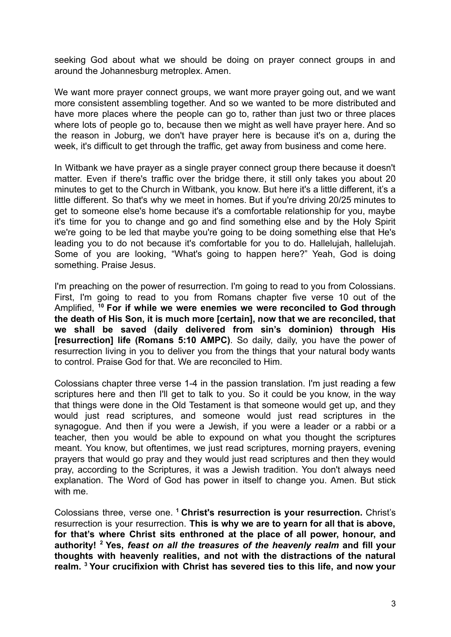seeking God about what we should be doing on prayer connect groups in and around the Johannesburg metroplex. Amen.

We want more prayer connect groups, we want more prayer going out, and we want more consistent assembling together. And so we wanted to be more distributed and have more places where the people can go to, rather than just two or three places where lots of people go to, because then we might as well have prayer here. And so the reason in Joburg, we don't have prayer here is because it's on a, during the week, it's difficult to get through the traffic, get away from business and come here.

In Witbank we have prayer as a single prayer connect group there because it doesn't matter. Even if there's traffic over the bridge there, it still only takes you about 20 minutes to get to the Church in Witbank, you know. But here it's a little different, it's a little different. So that's why we meet in homes. But if you're driving 20/25 minutes to get to someone else's home because it's a comfortable relationship for you, maybe it's time for you to change and go and find something else and by the Holy Spirit we're going to be led that maybe you're going to be doing something else that He's leading you to do not because it's comfortable for you to do. Hallelujah, hallelujah. Some of you are looking, "What's going to happen here?" Yeah, God is doing something. Praise Jesus.

I'm preaching on the power of resurrection. I'm going to read to you from Colossians. First, I'm going to read to you from Romans chapter five verse 10 out of the Amplified, **<sup>10</sup> For if while we were enemies we were reconciled to God through the death of His Son, it is much more [certain], now that we are reconciled, that we shall be saved (daily delivered from sin's dominion) through His [resurrection] life (Romans 5:10 AMPC)**. So daily, daily, you have the power of resurrection living in you to deliver you from the things that your natural body wants to control. Praise God for that. We are reconciled to Him.

Colossians chapter three verse 1-4 in the passion translation. I'm just reading a few scriptures here and then I'll get to talk to you. So it could be you know, in the way that things were done in the Old Testament is that someone would get up, and they would just read scriptures, and someone would just read scriptures in the synagogue. And then if you were a Jewish, if you were a leader or a rabbi or a teacher, then you would be able to expound on what you thought the scriptures meant. You know, but oftentimes, we just read scriptures, morning prayers, evening prayers that would go pray and they would just read scriptures and then they would pray, according to the Scriptures, it was a Jewish tradition. You don't always need explanation. The Word of God has power in itself to change you. Amen. But stick with me.

Colossians three, verse one. **<sup>1</sup> Christ's resurrection is your resurrection.** Christ's resurrection is your resurrection. **This is why we are to yearn for all that is above, for that's where Christ sits enthroned at the place of all power, honour, and authority! <sup>2</sup> Yes,** *feast on all the treasures of the heavenly realm* **and fill your thoughts with heavenly realities, and not with the distractions of the natural realm. <sup>3</sup> Your crucifixion with Christ has severed ties to this life, and now your**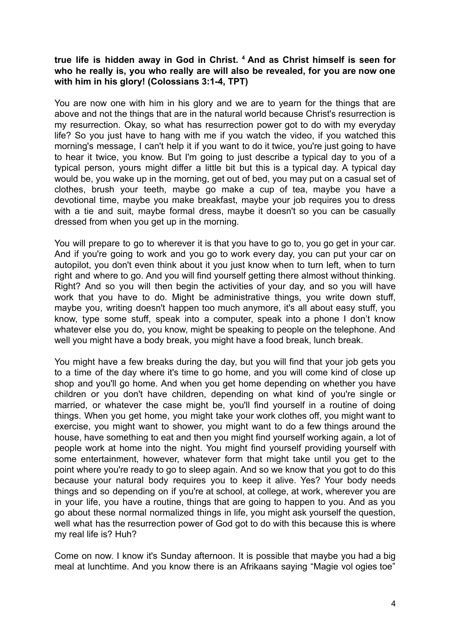## **true life is hidden away in God in Christ. <sup>4</sup> And as Christ himself is seen for who he really is, you who really are will also be revealed, for you are now one with him in his glory! (Colossians 3:1-4, TPT)**

You are now one with him in his glory and we are to yearn for the things that are above and not the things that are in the natural world because Christ's resurrection is my resurrection. Okay, so what has resurrection power got to do with my everyday life? So you just have to hang with me if you watch the video, if you watched this morning's message, I can't help it if you want to do it twice, you're just going to have to hear it twice, you know. But I'm going to just describe a typical day to you of a typical person, yours might differ a little bit but this is a typical day. A typical day would be, you wake up in the morning, get out of bed, you may put on a casual set of clothes, brush your teeth, maybe go make a cup of tea, maybe you have a devotional time, maybe you make breakfast, maybe your job requires you to dress with a tie and suit, maybe formal dress, maybe it doesn't so you can be casually dressed from when you get up in the morning.

You will prepare to go to wherever it is that you have to go to, you go get in your car. And if you're going to work and you go to work every day, you can put your car on autopilot, you don't even think about it you just know when to turn left, when to turn right and where to go. And you will find yourself getting there almost without thinking. Right? And so you will then begin the activities of your day, and so you will have work that you have to do. Might be administrative things, you write down stuff, maybe you, writing doesn't happen too much anymore, it's all about easy stuff, you know, type some stuff, speak into a computer, speak into a phone I don't know whatever else you do, you know, might be speaking to people on the telephone. And well you might have a body break, you might have a food break, lunch break.

You might have a few breaks during the day, but you will find that your job gets you to a time of the day where it's time to go home, and you will come kind of close up shop and you'll go home. And when you get home depending on whether you have children or you don't have children, depending on what kind of you're single or married, or whatever the case might be, you'll find yourself in a routine of doing things. When you get home, you might take your work clothes off, you might want to exercise, you might want to shower, you might want to do a few things around the house, have something to eat and then you might find yourself working again, a lot of people work at home into the night. You might find yourself providing yourself with some entertainment, however, whatever form that might take until you get to the point where you're ready to go to sleep again. And so we know that you got to do this because your natural body requires you to keep it alive. Yes? Your body needs things and so depending on if you're at school, at college, at work, wherever you are in your life, you have a routine, things that are going to happen to you. And as you go about these normal normalized things in life, you might ask yourself the question, well what has the resurrection power of God got to do with this because this is where my real life is? Huh?

Come on now. I know it's Sunday afternoon. It is possible that maybe you had a big meal at lunchtime. And you know there is an Afrikaans saying "Magie vol ogies toe"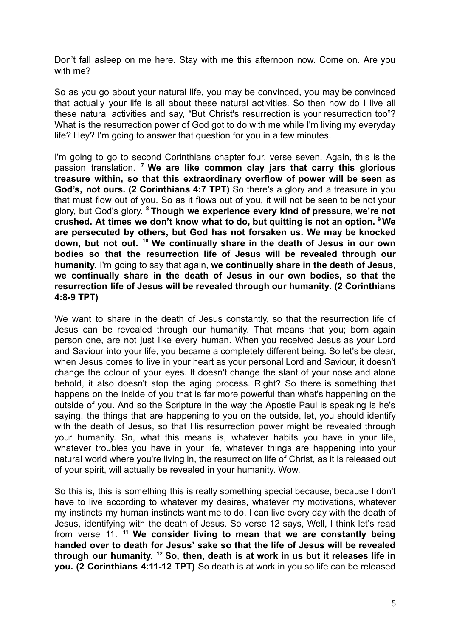Don't fall asleep on me here. Stay with me this afternoon now. Come on. Are you with me?

So as you go about your natural life, you may be convinced, you may be convinced that actually your life is all about these natural activities. So then how do I live all these natural activities and say, "But Christ's resurrection is your resurrection too"? What is the resurrection power of God got to do with me while I'm living my everyday life? Hey? I'm going to answer that question for you in a few minutes.

I'm going to go to second Corinthians chapter four, verse seven. Again, this is the passion translation. **<sup>7</sup> We are like common clay jars that carry this glorious treasure within, so that this extraordinary overflow of power will be seen as God's, not ours. (2 Corinthians 4:7 TPT)** So there's a glory and a treasure in you that must flow out of you. So as it flows out of you, it will not be seen to be not your glory, but God's glory. **<sup>8</sup> Though we experience every kind of pressure, we're not crushed. At times we don't know what to do, but quitting is not an option. <sup>9</sup> We are persecuted by others, but God has not forsaken us. We may be knocked down, but not out. <sup>10</sup> We continually share in the death of Jesus in our own bodies so that the resurrection life of Jesus will be revealed through our humanity.** I'm going to say that again, **we continually share in the death of Jesus, we continually share in the death of Jesus in our own bodies, so that the resurrection life of Jesus will be revealed through our humanity**. **(2 Corinthians 4:8-9 TPT)**

We want to share in the death of Jesus constantly, so that the resurrection life of Jesus can be revealed through our humanity. That means that you; born again person one, are not just like every human. When you received Jesus as your Lord and Saviour into your life, you became a completely different being. So let's be clear, when Jesus comes to live in your heart as your personal Lord and Saviour, it doesn't change the colour of your eyes. It doesn't change the slant of your nose and alone behold, it also doesn't stop the aging process. Right? So there is something that happens on the inside of you that is far more powerful than what's happening on the outside of you. And so the Scripture in the way the Apostle Paul is speaking is he's saying, the things that are happening to you on the outside, let, you should identify with the death of Jesus, so that His resurrection power might be revealed through your humanity. So, what this means is, whatever habits you have in your life, whatever troubles you have in your life, whatever things are happening into your natural world where you're living in, the resurrection life of Christ, as it is released out of your spirit, will actually be revealed in your humanity. Wow.

So this is, this is something this is really something special because, because I don't have to live according to whatever my desires, whatever my motivations, whatever my instincts my human instincts want me to do. I can live every day with the death of Jesus, identifying with the death of Jesus. So verse 12 says, Well, I think let's read from verse 11. **<sup>11</sup> We consider living to mean that we are constantly being handed over to death for Jesus' sake so that the life of Jesus will be revealed through our humanity. <sup>12</sup> So, then, death is at work in us but it releases life in you. (2 Corinthians 4:11-12 TPT)** So death is at work in you so life can be released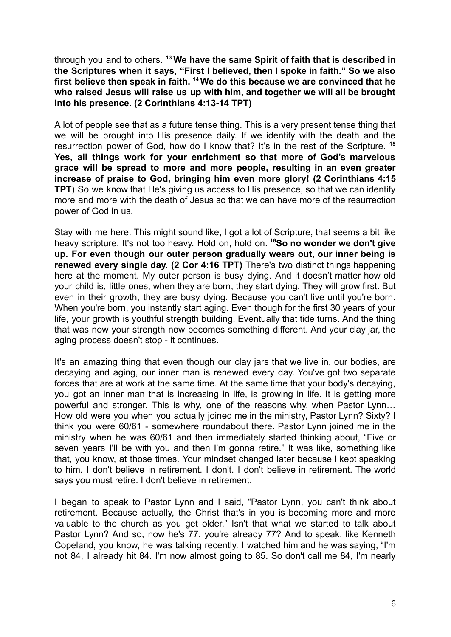through you and to others. **<sup>13</sup> We have the same Spirit of faith that is described in the Scriptures when it says, "First I believed, then I spoke in faith." So we also first believe then speak in faith. <sup>14</sup> We do this because we are convinced that he who raised Jesus will raise us up with him, and together we will all be brought into his presence. (2 Corinthians 4:13-14 TPT)**

A lot of people see that as a future tense thing. This is a very present tense thing that we will be brought into His presence daily. If we identify with the death and the resurrection power of God, how do I know that? It's in the rest of the Scripture. **<sup>15</sup> Yes, all things work for your enrichment so that more of God's marvelous grace will be spread to more and more people, resulting in an even greater increase of praise to God, bringing him even more glory! (2 Corinthians 4:15 TPT**) So we know that He's giving us access to His presence, so that we can identify more and more with the death of Jesus so that we can have more of the resurrection power of God in us.

Stay with me here. This might sound like, I got a lot of Scripture, that seems a bit like heavy scripture. It's not too heavy. Hold on, hold on. **<sup>16</sup>So no wonder we don't give up. For even though our outer person gradually wears out, our inner being is renewed every single day. (2 Cor 4:16 TPT)** There's two distinct things happening here at the moment. My outer person is busy dying. And it doesn't matter how old your child is, little ones, when they are born, they start dying. They will grow first. But even in their growth, they are busy dying. Because you can't live until you're born. When you're born, you instantly start aging. Even though for the first 30 years of your life, your growth is youthful strength building. Eventually that tide turns. And the thing that was now your strength now becomes something different. And your clay jar, the aging process doesn't stop - it continues.

It's an amazing thing that even though our clay jars that we live in, our bodies, are decaying and aging, our inner man is renewed every day. You've got two separate forces that are at work at the same time. At the same time that your body's decaying, you got an inner man that is increasing in life, is growing in life. It is getting more powerful and stronger. This is why, one of the reasons why, when Pastor Lynn… How old were you when you actually joined me in the ministry, Pastor Lynn? Sixty? I think you were 60/61 - somewhere roundabout there. Pastor Lynn joined me in the ministry when he was 60/61 and then immediately started thinking about, "Five or seven years I'll be with you and then I'm gonna retire." It was like, something like that, you know, at those times. Your mindset changed later because I kept speaking to him. I don't believe in retirement. I don't. I don't believe in retirement. The world says you must retire. I don't believe in retirement.

I began to speak to Pastor Lynn and I said, "Pastor Lynn, you can't think about retirement. Because actually, the Christ that's in you is becoming more and more valuable to the church as you get older." Isn't that what we started to talk about Pastor Lynn? And so, now he's 77, you're already 77? And to speak, like Kenneth Copeland, you know, he was talking recently. I watched him and he was saying, "I'm not 84, I already hit 84. I'm now almost going to 85. So don't call me 84, I'm nearly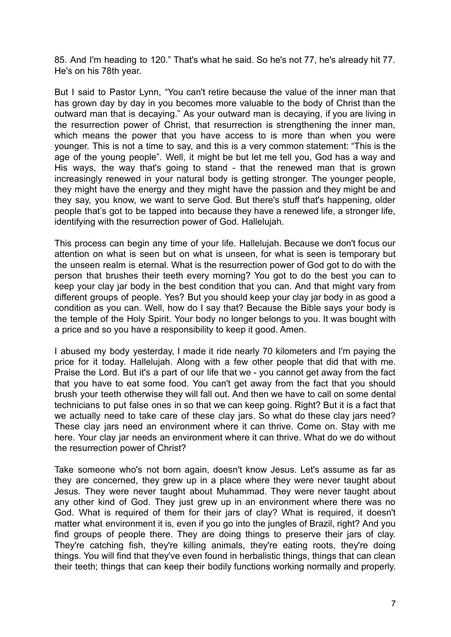85. And I'm heading to 120." That's what he said. So he's not 77, he's already hit 77. He's on his 78th year.

But I said to Pastor Lynn, "You can't retire because the value of the inner man that has grown day by day in you becomes more valuable to the body of Christ than the outward man that is decaying." As your outward man is decaying, if you are living in the resurrection power of Christ, that resurrection is strengthening the inner man, which means the power that you have access to is more than when you were younger. This is not a time to say, and this is a very common statement: "This is the age of the young people". Well, it might be but let me tell you, God has a way and His ways, the way that's going to stand - that the renewed man that is grown increasingly renewed in your natural body is getting stronger. The younger people, they might have the energy and they might have the passion and they might be and they say, you know, we want to serve God. But there's stuff that's happening, older people that's got to be tapped into because they have a renewed life, a stronger life, identifying with the resurrection power of God. Hallelujah.

This process can begin any time of your life. Hallelujah. Because we don't focus our attention on what is seen but on what is unseen, for what is seen is temporary but the unseen realm is eternal. What is the resurrection power of God got to do with the person that brushes their teeth every morning? You got to do the best you can to keep your clay jar body in the best condition that you can. And that might vary from different groups of people. Yes? But you should keep your clay jar body in as good a condition as you can. Well, how do I say that? Because the Bible says your body is the temple of the Holy Spirit. Your body no longer belongs to you. It was bought with a price and so you have a responsibility to keep it good. Amen.

I abused my body yesterday, I made it ride nearly 70 kilometers and I'm paying the price for it today. Hallelujah. Along with a few other people that did that with me. Praise the Lord. But it's a part of our life that we - you cannot get away from the fact that you have to eat some food. You can't get away from the fact that you should brush your teeth otherwise they will fall out. And then we have to call on some dental technicians to put false ones in so that we can keep going. Right? But it is a fact that we actually need to take care of these clay jars. So what do these clay jars need? These clay jars need an environment where it can thrive. Come on. Stay with me here. Your clay jar needs an environment where it can thrive. What do we do without the resurrection power of Christ?

Take someone who's not born again, doesn't know Jesus. Let's assume as far as they are concerned, they grew up in a place where they were never taught about Jesus. They were never taught about Muhammad. They were never taught about any other kind of God. They just grew up in an environment where there was no God. What is required of them for their jars of clay? What is required, it doesn't matter what environment it is, even if you go into the jungles of Brazil, right? And you find groups of people there. They are doing things to preserve their jars of clay. They're catching fish, they're killing animals, they're eating roots, they're doing things. You will find that they've even found in herbalistic things, things that can clean their teeth; things that can keep their bodily functions working normally and properly.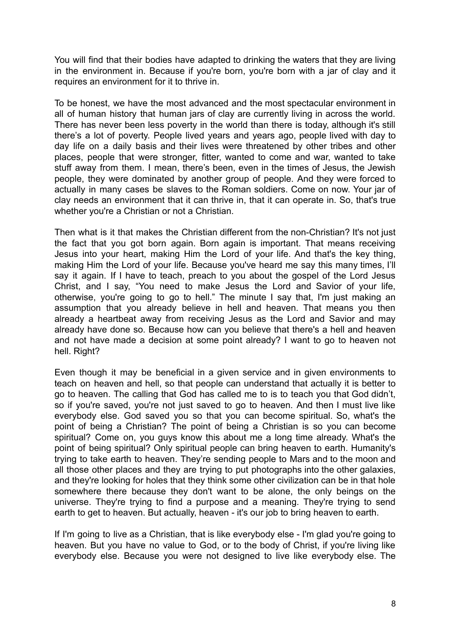You will find that their bodies have adapted to drinking the waters that they are living in the environment in. Because if you're born, you're born with a jar of clay and it requires an environment for it to thrive in.

To be honest, we have the most advanced and the most spectacular environment in all of human history that human jars of clay are currently living in across the world. There has never been less poverty in the world than there is today, although it's still there's a lot of poverty. People lived years and years ago, people lived with day to day life on a daily basis and their lives were threatened by other tribes and other places, people that were stronger, fitter, wanted to come and war, wanted to take stuff away from them. I mean, there's been, even in the times of Jesus, the Jewish people, they were dominated by another group of people. And they were forced to actually in many cases be slaves to the Roman soldiers. Come on now. Your jar of clay needs an environment that it can thrive in, that it can operate in. So, that's true whether you're a Christian or not a Christian.

Then what is it that makes the Christian different from the non-Christian? It's not just the fact that you got born again. Born again is important. That means receiving Jesus into your heart, making Him the Lord of your life. And that's the key thing, making Him the Lord of your life. Because you've heard me say this many times, I'll say it again. If I have to teach, preach to you about the gospel of the Lord Jesus Christ, and I say, "You need to make Jesus the Lord and Savior of your life, otherwise, you're going to go to hell." The minute I say that, I'm just making an assumption that you already believe in hell and heaven. That means you then already a heartbeat away from receiving Jesus as the Lord and Savior and may already have done so. Because how can you believe that there's a hell and heaven and not have made a decision at some point already? I want to go to heaven not hell. Right?

Even though it may be beneficial in a given service and in given environments to teach on heaven and hell, so that people can understand that actually it is better to go to heaven. The calling that God has called me to is to teach you that God didn't, so if you're saved, you're not just saved to go to heaven. And then I must live like everybody else. God saved you so that you can become spiritual. So, what's the point of being a Christian? The point of being a Christian is so you can become spiritual? Come on, you guys know this about me a long time already. What's the point of being spiritual? Only spiritual people can bring heaven to earth. Humanity's trying to take earth to heaven. They're sending people to Mars and to the moon and all those other places and they are trying to put photographs into the other galaxies, and they're looking for holes that they think some other civilization can be in that hole somewhere there because they don't want to be alone, the only beings on the universe. They're trying to find a purpose and a meaning. They're trying to send earth to get to heaven. But actually, heaven - it's our job to bring heaven to earth.

If I'm going to live as a Christian, that is like everybody else - I'm glad you're going to heaven. But you have no value to God, or to the body of Christ, if you're living like everybody else. Because you were not designed to live like everybody else. The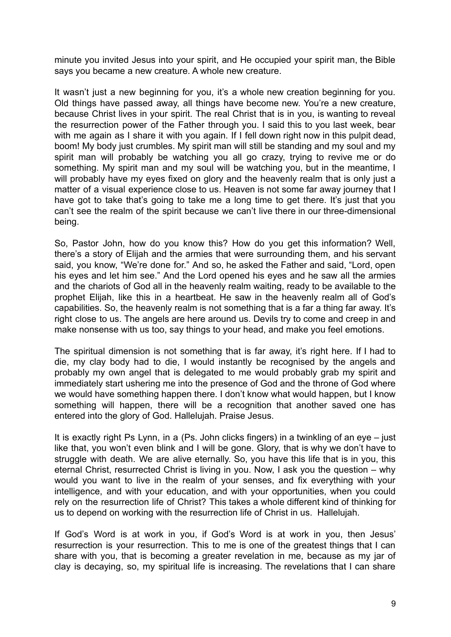minute you invited Jesus into your spirit, and He occupied your spirit man, the Bible says you became a new creature. A whole new creature.

It wasn't just a new beginning for you, it's a whole new creation beginning for you. Old things have passed away, all things have become new. You're a new creature, because Christ lives in your spirit. The real Christ that is in you, is wanting to reveal the resurrection power of the Father through you. I said this to you last week, bear with me again as I share it with you again. If I fell down right now in this pulpit dead, boom! My body just crumbles. My spirit man will still be standing and my soul and my spirit man will probably be watching you all go crazy, trying to revive me or do something. My spirit man and my soul will be watching you, but in the meantime, I will probably have my eyes fixed on glory and the heavenly realm that is only just a matter of a visual experience close to us. Heaven is not some far away journey that I have got to take that's going to take me a long time to get there. It's just that you can't see the realm of the spirit because we can't live there in our three-dimensional being.

So, Pastor John, how do you know this? How do you get this information? Well, there's a story of Elijah and the armies that were surrounding them, and his servant said, you know, "We're done for." And so, he asked the Father and said, "Lord, open his eyes and let him see." And the Lord opened his eyes and he saw all the armies and the chariots of God all in the heavenly realm waiting, ready to be available to the prophet Elijah, like this in a heartbeat. He saw in the heavenly realm all of God's capabilities. So, the heavenly realm is not something that is a far a thing far away. It's right close to us. The angels are here around us. Devils try to come and creep in and make nonsense with us too, say things to your head, and make you feel emotions.

The spiritual dimension is not something that is far away, it's right here. If I had to die, my clay body had to die, I would instantly be recognised by the angels and probably my own angel that is delegated to me would probably grab my spirit and immediately start ushering me into the presence of God and the throne of God where we would have something happen there. I don't know what would happen, but I know something will happen, there will be a recognition that another saved one has entered into the glory of God. Hallelujah. Praise Jesus.

It is exactly right Ps Lynn, in a (Ps. John clicks fingers) in a twinkling of an eye – just like that, you won't even blink and I will be gone. Glory, that is why we don't have to struggle with death. We are alive eternally. So, you have this life that is in you, this eternal Christ, resurrected Christ is living in you. Now, I ask you the question – why would you want to live in the realm of your senses, and fix everything with your intelligence, and with your education, and with your opportunities, when you could rely on the resurrection life of Christ? This takes a whole different kind of thinking for us to depend on working with the resurrection life of Christ in us. Hallelujah.

If God's Word is at work in you, if God's Word is at work in you, then Jesus' resurrection is your resurrection. This to me is one of the greatest things that I can share with you, that is becoming a greater revelation in me, because as my jar of clay is decaying, so, my spiritual life is increasing. The revelations that I can share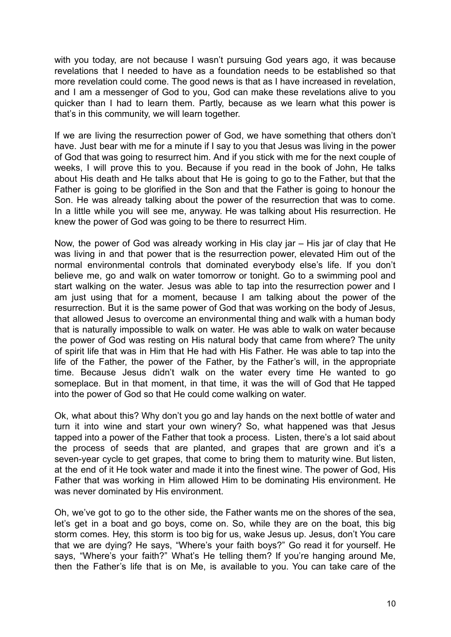with you today, are not because I wasn't pursuing God years ago, it was because revelations that I needed to have as a foundation needs to be established so that more revelation could come. The good news is that as I have increased in revelation, and I am a messenger of God to you, God can make these revelations alive to you quicker than I had to learn them. Partly, because as we learn what this power is that's in this community, we will learn together.

If we are living the resurrection power of God, we have something that others don't have. Just bear with me for a minute if I say to you that Jesus was living in the power of God that was going to resurrect him. And if you stick with me for the next couple of weeks, I will prove this to you. Because if you read in the book of John, He talks about His death and He talks about that He is going to go to the Father, but that the Father is going to be glorified in the Son and that the Father is going to honour the Son. He was already talking about the power of the resurrection that was to come. In a little while you will see me, anyway. He was talking about His resurrection. He knew the power of God was going to be there to resurrect Him.

Now, the power of God was already working in His clay jar – His jar of clay that He was living in and that power that is the resurrection power, elevated Him out of the normal environmental controls that dominated everybody else's life. If you don't believe me, go and walk on water tomorrow or tonight. Go to a swimming pool and start walking on the water. Jesus was able to tap into the resurrection power and I am just using that for a moment, because I am talking about the power of the resurrection. But it is the same power of God that was working on the body of Jesus, that allowed Jesus to overcome an environmental thing and walk with a human body that is naturally impossible to walk on water. He was able to walk on water because the power of God was resting on His natural body that came from where? The unity of spirit life that was in Him that He had with His Father. He was able to tap into the life of the Father, the power of the Father, by the Father's will, in the appropriate time. Because Jesus didn't walk on the water every time He wanted to go someplace. But in that moment, in that time, it was the will of God that He tapped into the power of God so that He could come walking on water.

Ok, what about this? Why don't you go and lay hands on the next bottle of water and turn it into wine and start your own winery? So, what happened was that Jesus tapped into a power of the Father that took a process. Listen, there's a lot said about the process of seeds that are planted, and grapes that are grown and it's a seven-year cycle to get grapes, that come to bring them to maturity wine. But listen, at the end of it He took water and made it into the finest wine. The power of God, His Father that was working in Him allowed Him to be dominating His environment. He was never dominated by His environment.

Oh, we've got to go to the other side, the Father wants me on the shores of the sea, let's get in a boat and go boys, come on. So, while they are on the boat, this big storm comes. Hey, this storm is too big for us, wake Jesus up. Jesus, don't You care that we are dying? He says, "Where's your faith boys?" Go read it for yourself. He says, "Where's your faith?" What's He telling them? If you're hanging around Me, then the Father's life that is on Me, is available to you. You can take care of the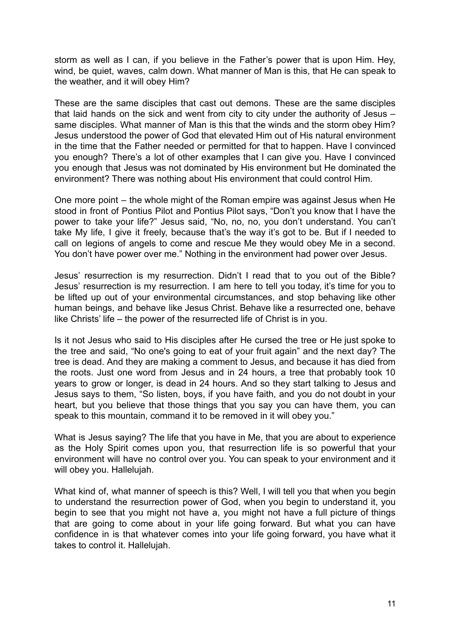storm as well as I can, if you believe in the Father's power that is upon Him. Hey, wind, be quiet, waves, calm down. What manner of Man is this, that He can speak to the weather, and it will obey Him?

These are the same disciples that cast out demons. These are the same disciples that laid hands on the sick and went from city to city under the authority of Jesus – same disciples. What manner of Man is this that the winds and the storm obey Him? Jesus understood the power of God that elevated Him out of His natural environment in the time that the Father needed or permitted for that to happen. Have I convinced you enough? There's a lot of other examples that I can give you. Have I convinced you enough that Jesus was not dominated by His environment but He dominated the environment? There was nothing about His environment that could control Him.

One more point – the whole might of the Roman empire was against Jesus when He stood in front of Pontius Pilot and Pontius Pilot says, "Don't you know that I have the power to take your life?" Jesus said, "No, no, no, you don't understand. You can't take My life, I give it freely, because that's the way it's got to be. But if I needed to call on legions of angels to come and rescue Me they would obey Me in a second. You don't have power over me." Nothing in the environment had power over Jesus.

Jesus' resurrection is my resurrection. Didn't I read that to you out of the Bible? Jesus' resurrection is my resurrection. I am here to tell you today, it's time for you to be lifted up out of your environmental circumstances, and stop behaving like other human beings, and behave like Jesus Christ. Behave like a resurrected one, behave like Christs' life – the power of the resurrected life of Christ is in you.

Is it not Jesus who said to His disciples after He cursed the tree or He just spoke to the tree and said, "No one's going to eat of your fruit again" and the next day? The tree is dead. And they are making a comment to Jesus, and because it has died from the roots. Just one word from Jesus and in 24 hours, a tree that probably took 10 years to grow or longer, is dead in 24 hours. And so they start talking to Jesus and Jesus says to them, "So listen, boys, if you have faith, and you do not doubt in your heart, but you believe that those things that you say you can have them, you can speak to this mountain, command it to be removed in it will obey you."

What is Jesus saying? The life that you have in Me, that you are about to experience as the Holy Spirit comes upon you, that resurrection life is so powerful that your environment will have no control over you. You can speak to your environment and it will obey you. Hallelujah.

What kind of, what manner of speech is this? Well, I will tell you that when you begin to understand the resurrection power of God, when you begin to understand it, you begin to see that you might not have a, you might not have a full picture of things that are going to come about in your life going forward. But what you can have confidence in is that whatever comes into your life going forward, you have what it takes to control it. Hallelujah.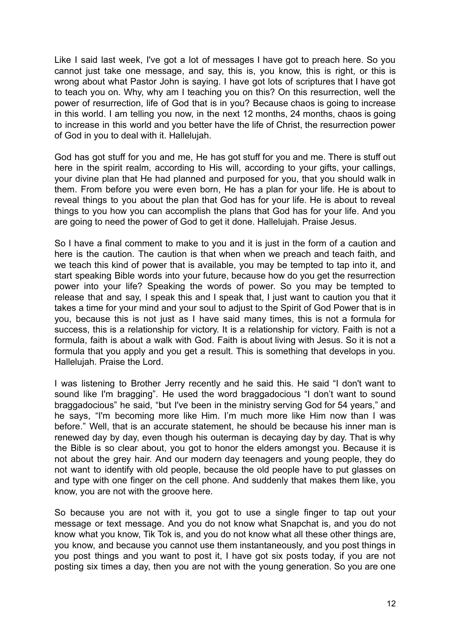Like I said last week, I've got a lot of messages I have got to preach here. So you cannot just take one message, and say, this is, you know, this is right, or this is wrong about what Pastor John is saying. I have got lots of scriptures that I have got to teach you on. Why, why am I teaching you on this? On this resurrection, well the power of resurrection, life of God that is in you? Because chaos is going to increase in this world. I am telling you now, in the next 12 months, 24 months, chaos is going to increase in this world and you better have the life of Christ, the resurrection power of God in you to deal with it. Hallelujah.

God has got stuff for you and me, He has got stuff for you and me. There is stuff out here in the spirit realm, according to His will, according to your gifts, your callings, your divine plan that He had planned and purposed for you, that you should walk in them. From before you were even born, He has a plan for your life. He is about to reveal things to you about the plan that God has for your life. He is about to reveal things to you how you can accomplish the plans that God has for your life. And you are going to need the power of God to get it done. Hallelujah. Praise Jesus.

So I have a final comment to make to you and it is just in the form of a caution and here is the caution. The caution is that when when we preach and teach faith, and we teach this kind of power that is available, you may be tempted to tap into it, and start speaking Bible words into your future, because how do you get the resurrection power into your life? Speaking the words of power. So you may be tempted to release that and say, I speak this and I speak that, I just want to caution you that it takes a time for your mind and your soul to adjust to the Spirit of God Power that is in you, because this is not just as I have said many times, this is not a formula for success, this is a relationship for victory. It is a relationship for victory. Faith is not a formula, faith is about a walk with God. Faith is about living with Jesus. So it is not a formula that you apply and you get a result. This is something that develops in you. Hallelujah. Praise the Lord.

I was listening to Brother Jerry recently and he said this. He said "I don't want to sound like I'm bragging". He used the word braggadocious "I don't want to sound braggadocious" he said, "but I've been in the ministry serving God for 54 years," and he says, "I'm becoming more like Him. I'm much more like Him now than I was before." Well, that is an accurate statement, he should be because his inner man is renewed day by day, even though his outerman is decaying day by day. That is why the Bible is so clear about, you got to honor the elders amongst you. Because it is not about the grey hair. And our modern day teenagers and young people, they do not want to identify with old people, because the old people have to put glasses on and type with one finger on the cell phone. And suddenly that makes them like, you know, you are not with the groove here.

So because you are not with it, you got to use a single finger to tap out your message or text message. And you do not know what Snapchat is, and you do not know what you know, Tik Tok is, and you do not know what all these other things are, you know, and because you cannot use them instantaneously, and you post things in you post things and you want to post it, I have got six posts today, if you are not posting six times a day, then you are not with the young generation. So you are one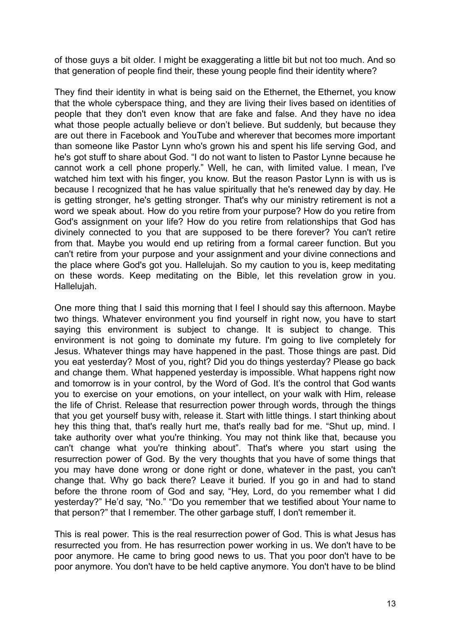of those guys a bit older. I might be exaggerating a little bit but not too much. And so that generation of people find their, these young people find their identity where?

They find their identity in what is being said on the Ethernet, the Ethernet, you know that the whole cyberspace thing, and they are living their lives based on identities of people that they don't even know that are fake and false. And they have no idea what those people actually believe or don't believe. But suddenly, but because they are out there in Facebook and YouTube and wherever that becomes more important than someone like Pastor Lynn who's grown his and spent his life serving God, and he's got stuff to share about God. "I do not want to listen to Pastor Lynne because he cannot work a cell phone properly." Well, he can, with limited value. I mean, I've watched him text with his finger, you know. But the reason Pastor Lynn is with us is because I recognized that he has value spiritually that he's renewed day by day. He is getting stronger, he's getting stronger. That's why our ministry retirement is not a word we speak about. How do you retire from your purpose? How do you retire from God's assignment on your life? How do you retire from relationships that God has divinely connected to you that are supposed to be there forever? You can't retire from that. Maybe you would end up retiring from a formal career function. But you can't retire from your purpose and your assignment and your divine connections and the place where God's got you. Hallelujah. So my caution to you is, keep meditating on these words. Keep meditating on the Bible, let this revelation grow in you. Hallelujah.

One more thing that I said this morning that I feel I should say this afternoon. Maybe two things. Whatever environment you find yourself in right now, you have to start saying this environment is subject to change. It is subject to change. This environment is not going to dominate my future. I'm going to live completely for Jesus. Whatever things may have happened in the past. Those things are past. Did you eat yesterday? Most of you, right? Did you do things yesterday? Please go back and change them. What happened yesterday is impossible. What happens right now and tomorrow is in your control, by the Word of God. It's the control that God wants you to exercise on your emotions, on your intellect, on your walk with Him, release the life of Christ. Release that resurrection power through words, through the things that you get yourself busy with, release it. Start with little things. I start thinking about hey this thing that, that's really hurt me, that's really bad for me. "Shut up, mind. I take authority over what you're thinking. You may not think like that, because you can't change what you're thinking about". That's where you start using the resurrection power of God. By the very thoughts that you have of some things that you may have done wrong or done right or done, whatever in the past, you can't change that. Why go back there? Leave it buried. If you go in and had to stand before the throne room of God and say, "Hey, Lord, do you remember what I did yesterday?" He'd say, "No." "Do you remember that we testified about Your name to that person?" that I remember. The other garbage stuff, I don't remember it.

This is real power. This is the real resurrection power of God. This is what Jesus has resurrected you from. He has resurrection power working in us. We don't have to be poor anymore. He came to bring good news to us. That you poor don't have to be poor anymore. You don't have to be held captive anymore. You don't have to be blind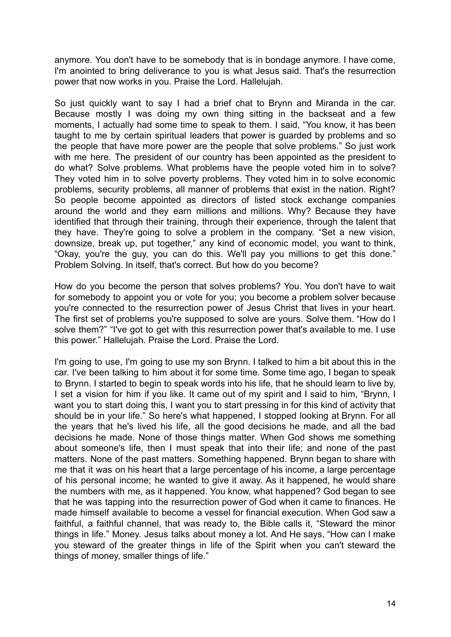anymore. You don't have to be somebody that is in bondage anymore. I have come, I'm anointed to bring deliverance to you is what Jesus said. That's the resurrection power that now works in you. Praise the Lord. Hallelujah.

So just quickly want to say I had a brief chat to Brynn and Miranda in the car. Because mostly I was doing my own thing sitting in the backseat and a few moments, I actually had some time to speak to them. I said, "You know, it has been taught to me by certain spiritual leaders that power is guarded by problems and so the people that have more power are the people that solve problems." So just work with me here. The president of our country has been appointed as the president to do what? Solve problems. What problems have the people voted him in to solve? They voted him in to solve poverty problems. They voted him in to solve economic problems, security problems, all manner of problems that exist in the nation. Right? So people become appointed as directors of listed stock exchange companies around the world and they earn millions and millions. Why? Because they have identified that through their training, through their experience, through the talent that they have. They're going to solve a problem in the company. "Set a new vision, downsize, break up, put together," any kind of economic model, you want to think, "Okay, you're the guy, you can do this. We'll pay you millions to get this done." Problem Solving. In itself, that's correct. But how do you become?

How do you become the person that solves problems? You. You don't have to wait for somebody to appoint you or vote for you; you become a problem solver because you're connected to the resurrection power of Jesus Christ that lives in your heart. The first set of problems you're supposed to solve are yours. Solve them. "How do I solve them?" "I've got to get with this resurrection power that's available to me. I use this power." Hallelujah. Praise the Lord. Praise the Lord.

I'm going to use, I'm going to use my son Brynn. I talked to him a bit about this in the car. I've been talking to him about it for some time. Some time ago, I began to speak to Brynn. I started to begin to speak words into his life, that he should learn to live by, I set a vision for him if you like. It came out of my spirit and I said to him, "Brynn, I want you to start doing this, I want you to start pressing in for this kind of activity that should be in your life." So here's what happened, I stopped looking at Brynn. For all the years that he's lived his life, all the good decisions he made, and all the bad decisions he made. None of those things matter. When God shows me something about someone's life, then I must speak that into their life; and none of the past matters. None of the past matters. Something happened. Brynn began to share with me that it was on his heart that a large percentage of his income, a large percentage of his personal income; he wanted to give it away. As it happened, he would share the numbers with me, as it happened. You know, what happened? God began to see that he was tapping into the resurrection power of God when it came to finances. He made himself available to become a vessel for financial execution. When God saw a faithful, a faithful channel, that was ready to, the Bible calls it, "Steward the minor things in life." Money. Jesus talks about money a lot. And He says, "How can I make you steward of the greater things in life of the Spirit when you can't steward the things of money, smaller things of life."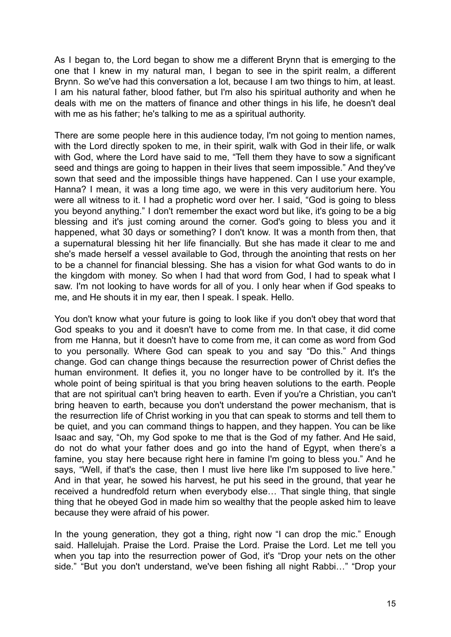As I began to, the Lord began to show me a different Brynn that is emerging to the one that I knew in my natural man, I began to see in the spirit realm, a different Brynn. So we've had this conversation a lot, because I am two things to him, at least. I am his natural father, blood father, but I'm also his spiritual authority and when he deals with me on the matters of finance and other things in his life, he doesn't deal with me as his father; he's talking to me as a spiritual authority.

There are some people here in this audience today, I'm not going to mention names, with the Lord directly spoken to me, in their spirit, walk with God in their life, or walk with God, where the Lord have said to me, "Tell them they have to sow a significant seed and things are going to happen in their lives that seem impossible." And they've sown that seed and the impossible things have happened. Can I use your example, Hanna? I mean, it was a long time ago, we were in this very auditorium here. You were all witness to it. I had a prophetic word over her. I said, "God is going to bless you beyond anything." I don't remember the exact word but like, it's going to be a big blessing and it's just coming around the corner. God's going to bless you and it happened, what 30 days or something? I don't know. It was a month from then, that a supernatural blessing hit her life financially. But she has made it clear to me and she's made herself a vessel available to God, through the anointing that rests on her to be a channel for financial blessing. She has a vision for what God wants to do in the kingdom with money. So when I had that word from God, I had to speak what I saw. I'm not looking to have words for all of you. I only hear when if God speaks to me, and He shouts it in my ear, then I speak. I speak. Hello.

You don't know what your future is going to look like if you don't obey that word that God speaks to you and it doesn't have to come from me. In that case, it did come from me Hanna, but it doesn't have to come from me, it can come as word from God to you personally. Where God can speak to you and say "Do this." And things change. God can change things because the resurrection power of Christ defies the human environment. It defies it, you no longer have to be controlled by it. It's the whole point of being spiritual is that you bring heaven solutions to the earth. People that are not spiritual can't bring heaven to earth. Even if you're a Christian, you can't bring heaven to earth, because you don't understand the power mechanism, that is the resurrection life of Christ working in you that can speak to storms and tell them to be quiet, and you can command things to happen, and they happen. You can be like Isaac and say, "Oh, my God spoke to me that is the God of my father. And He said, do not do what your father does and go into the hand of Egypt, when there's a famine, you stay here because right here in famine I'm going to bless you." And he says, "Well, if that's the case, then I must live here like I'm supposed to live here." And in that year, he sowed his harvest, he put his seed in the ground, that year he received a hundredfold return when everybody else… That single thing, that single thing that he obeyed God in made him so wealthy that the people asked him to leave because they were afraid of his power.

In the young generation, they got a thing, right now "I can drop the mic." Enough said. Hallelujah. Praise the Lord. Praise the Lord. Praise the Lord. Let me tell you when you tap into the resurrection power of God, it's "Drop your nets on the other side." "But you don't understand, we've been fishing all night Rabbi…" "Drop your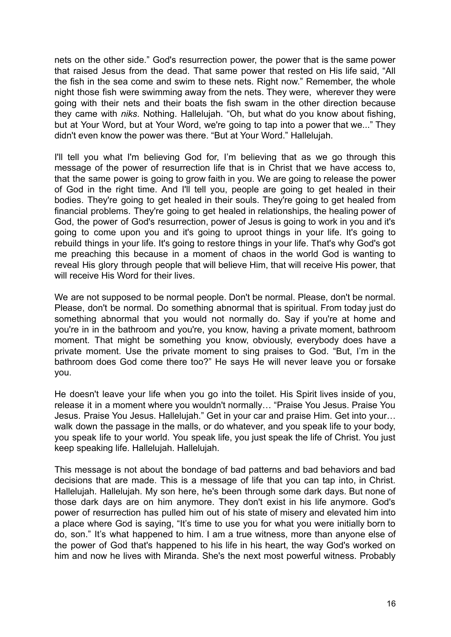nets on the other side." God's resurrection power, the power that is the same power that raised Jesus from the dead. That same power that rested on His life said, "All the fish in the sea come and swim to these nets. Right now." Remember, the whole night those fish were swimming away from the nets. They were, wherever they were going with their nets and their boats the fish swam in the other direction because they came with *niks*. Nothing. Hallelujah. "Oh, but what do you know about fishing, but at Your Word, but at Your Word, we're going to tap into a power that we..." They didn't even know the power was there. "But at Your Word." Hallelujah.

I'll tell you what I'm believing God for, I'm believing that as we go through this message of the power of resurrection life that is in Christ that we have access to, that the same power is going to grow faith in you. We are going to release the power of God in the right time. And I'll tell you, people are going to get healed in their bodies. They're going to get healed in their souls. They're going to get healed from financial problems. They're going to get healed in relationships, the healing power of God, the power of God's resurrection, power of Jesus is going to work in you and it's going to come upon you and it's going to uproot things in your life. It's going to rebuild things in your life. It's going to restore things in your life. That's why God's got me preaching this because in a moment of chaos in the world God is wanting to reveal His glory through people that will believe Him, that will receive His power, that will receive His Word for their lives.

We are not supposed to be normal people. Don't be normal. Please, don't be normal. Please, don't be normal. Do something abnormal that is spiritual. From today just do something abnormal that you would not normally do. Say if you're at home and you're in in the bathroom and you're, you know, having a private moment, bathroom moment. That might be something you know, obviously, everybody does have a private moment. Use the private moment to sing praises to God. "But, I'm in the bathroom does God come there too?" He says He will never leave you or forsake you.

He doesn't leave your life when you go into the toilet. His Spirit lives inside of you, release it in a moment where you wouldn't normally… "Praise You Jesus. Praise You Jesus. Praise You Jesus. Hallelujah." Get in your car and praise Him. Get into your… walk down the passage in the malls, or do whatever, and you speak life to your body, you speak life to your world. You speak life, you just speak the life of Christ. You just keep speaking life. Hallelujah. Hallelujah.

This message is not about the bondage of bad patterns and bad behaviors and bad decisions that are made. This is a message of life that you can tap into, in Christ. Hallelujah. Hallelujah. My son here, he's been through some dark days. But none of those dark days are on him anymore. They don't exist in his life anymore. God's power of resurrection has pulled him out of his state of misery and elevated him into a place where God is saying, "It's time to use you for what you were initially born to do, son." It's what happened to him. I am a true witness, more than anyone else of the power of God that's happened to his life in his heart, the way God's worked on him and now he lives with Miranda. She's the next most powerful witness. Probably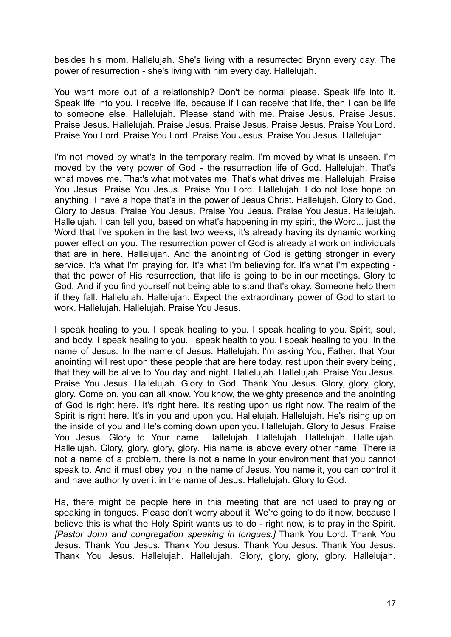besides his mom. Hallelujah. She's living with a resurrected Brynn every day. The power of resurrection - she's living with him every day. Hallelujah.

You want more out of a relationship? Don't be normal please. Speak life into it. Speak life into you. I receive life, because if I can receive that life, then I can be life to someone else. Hallelujah. Please stand with me. Praise Jesus. Praise Jesus. Praise Jesus. Hallelujah. Praise Jesus. Praise Jesus. Praise Jesus. Praise You Lord. Praise You Lord. Praise You Lord. Praise You Jesus. Praise You Jesus. Hallelujah.

I'm not moved by what's in the temporary realm, I'm moved by what is unseen. I'm moved by the very power of God - the resurrection life of God. Hallelujah. That's what moves me. That's what motivates me. That's what drives me. Hallelujah. Praise You Jesus. Praise You Jesus. Praise You Lord. Hallelujah. I do not lose hope on anything. I have a hope that's in the power of Jesus Christ. Hallelujah. Glory to God. Glory to Jesus. Praise You Jesus. Praise You Jesus. Praise You Jesus. Hallelujah. Hallelujah. I can tell you, based on what's happening in my spirit, the Word... just the Word that I've spoken in the last two weeks, it's already having its dynamic working power effect on you. The resurrection power of God is already at work on individuals that are in here. Hallelujah. And the anointing of God is getting stronger in every service. It's what I'm praying for. It's what I'm believing for. It's what I'm expecting that the power of His resurrection, that life is going to be in our meetings. Glory to God. And if you find yourself not being able to stand that's okay. Someone help them if they fall. Hallelujah. Hallelujah. Expect the extraordinary power of God to start to work. Hallelujah. Hallelujah. Praise You Jesus.

I speak healing to you. I speak healing to you. I speak healing to you. Spirit, soul, and body. I speak healing to you. I speak health to you. I speak healing to you. In the name of Jesus. In the name of Jesus. Hallelujah. I'm asking You, Father, that Your anointing will rest upon these people that are here today, rest upon their every being, that they will be alive to You day and night. Hallelujah. Hallelujah. Praise You Jesus. Praise You Jesus. Hallelujah. Glory to God. Thank You Jesus. Glory, glory, glory, glory. Come on, you can all know. You know, the weighty presence and the anointing of God is right here. It's right here. It's resting upon us right now. The realm of the Spirit is right here. It's in you and upon you. Hallelujah. Hallelujah. He's rising up on the inside of you and He's coming down upon you. Hallelujah. Glory to Jesus. Praise You Jesus. Glory to Your name. Hallelujah. Hallelujah. Hallelujah. Hallelujah. Hallelujah. Glory, glory, glory, glory. His name is above every other name. There is not a name of a problem, there is not a name in your environment that you cannot speak to. And it must obey you in the name of Jesus. You name it, you can control it and have authority over it in the name of Jesus. Hallelujah. Glory to God.

Ha, there might be people here in this meeting that are not used to praying or speaking in tongues. Please don't worry about it. We're going to do it now, because I believe this is what the Holy Spirit wants us to do - right now, is to pray in the Spirit. *[Pastor John and congregation speaking in tongues.]* Thank You Lord. Thank You Jesus. Thank You Jesus. Thank You Jesus. Thank You Jesus. Thank You Jesus. Thank You Jesus. Hallelujah. Hallelujah. Glory, glory, glory, glory. Hallelujah.